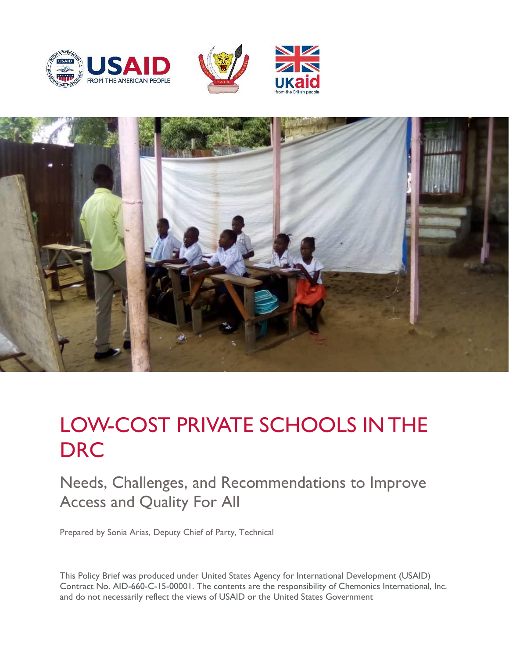







# LOW-COST PRIVATE SCHOOLS IN THE **DRC**

Needs, Challenges, and Recommendations to Improve Access and Quality For All

Prepared by Sonia Arias, Deputy Chief of Party, Technical

This Policy Brief was produced under United States Agency for International Development (USAID) Contract No. AID-660-C-15-00001. The contents are the responsibility of Chemonics International, Inc. and do not necessarily reflect the views of USAID or the United States Government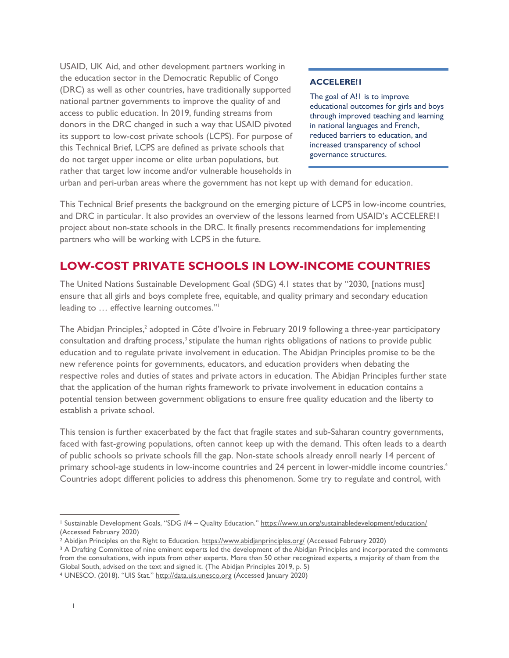USAID, UK Aid, and other development partners working in the education sector in the Democratic Republic of Congo (DRC) as well as other countries, have traditionally supported national partner governments to improve the quality of and access to public education. In 2019, funding streams from donors in the DRC changed in such a way that USAID pivoted its support to low-cost private schools (LCPS). For purpose of this Technical Brief, LCPS are defined as private schools that do not target upper income or elite urban populations, but rather that target low income and/or vulnerable households in

#### **ACCELERE!1**

The goal of A!1 is to improve educational outcomes for girls and boys through improved teaching and learning in national languages and French, reduced barriers to education, and increased transparency of school governance structures.

urban and peri-urban areas where the government has not kept up with demand for education.

This Technical Brief presents the background on the emerging picture of LCPS in low-income countries, and DRC in particular. It also provides an overview of the lessons learned from USAID's ACCELERE!1 project about non-state schools in the DRC. It finally presents recommendations for implementing partners who will be working with LCPS in the future.

#### **LOW-COST PRIVATE SCHOOLS IN LOW-INCOME COUNTRIES**

The United Nations Sustainable Development Goal (SDG) 4.1 states that by "2030, [nations must] ensure that all girls and boys complete free, equitable, and quality primary and secondary education leading to … effective learning outcomes." 1

The Abidjan Principles,<sup>2</sup> adopted in Côte d'Ivoire in February 2019 following a three-year participatory consultation and drafting process,<sup>3</sup> stipulate the human rights obligations of nations to provide public education and to regulate private involvement in education. The Abidjan Principles promise to be the new reference points for governments, educators, and education providers when debating the respective roles and duties of states and private actors in education. The Abidjan Principles further state that the application of the human rights framework to private involvement in education contains a potential tension between government obligations to ensure free quality education and the liberty to establish a private school.

This tension is further exacerbated by the fact that fragile states and sub-Saharan country governments, faced with fast-growing populations, often cannot keep up with the demand. This often leads to a dearth of public schools so private schools fill the gap. Non-state schools already enroll nearly 14 percent of primary school-age students in low-income countries and 24 percent in lower-middle income countries.<sup>4</sup> Countries adopt different policies to address this phenomenon. Some try to regulate and control, with

<sup>&</sup>lt;sup>1</sup> Sustainable Development Goals, "SDG #4 - Quality Education." <https://www.un.org/sustainabledevelopment/education/> (Accessed February 2020)

<sup>&</sup>lt;sup>2</sup> Abidjan Principles on the Right to Education.<https://www.abidjanprinciples.org/> (Accessed February 2020)

<sup>&</sup>lt;sup>3</sup> A Drafting Committee of nine eminent experts led the development of the Abidjan Principles and incorporated the comments from the consultations, with inputs from other experts. More than 50 other recognized experts, a majority of them from the Global South, advised on the text and signed it. [\(The Abidjan Principles](https://www.abidjanprinciples.org/) 2019, p. 5)

<sup>4</sup> UNESCO. (2018). "UIS Stat." [http://data.uis.unesco.org](http://data.uis.unesco.org/) (Accessed January 2020)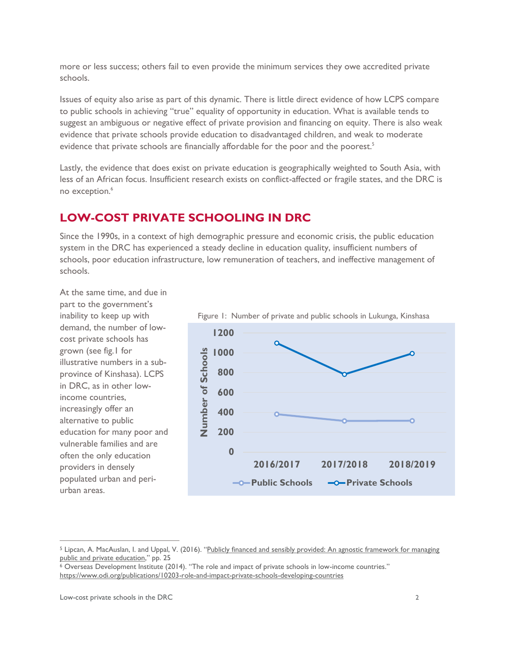more or less success; others fail to even provide the minimum services they owe accredited private schools.

Issues of equity also arise as part of this dynamic. There is little direct evidence of how LCPS compare to public schools in achieving "true" equality of opportunity in education. What is available tends to suggest an ambiguous or negative effect of private provision and financing on equity. There is also weak evidence that private schools provide education to disadvantaged children, and weak to moderate evidence that private schools are financially affordable for the poor and the poorest.<sup>5</sup>

Lastly, the evidence that does exist on private education is geographically weighted to South Asia, with less of an African focus. Insufficient research exists on conflict-affected or fragile states, and the DRC is no exception.<sup>6</sup>

## **LOW-COST PRIVATE SCHOOLING IN DRC**

Since the 1990s, in a context of high demographic pressure and economic crisis, the public education system in the DRC has experienced a steady decline in education quality, insufficient numbers of schools, poor education infrastructure, low remuneration of teachers, and ineffective management of schools.

At the same time, and due in part to the government's inability to keep up with demand, the number of lowcost private schools has grown (see fig.1 for illustrative numbers in a subprovince of Kinshasa). LCPS in DRC, as in other lowincome countries, increasingly offer an alternative to public education for many poor and vulnerable families and are often the only education providers in densely populated urban and periurban areas.



Figure 1: Number of private and public schools in Lukunga, Kinshasa

<sup>&</sup>lt;sup>5</sup> Lipcan, A. MacAuslan, I. and Uppal, V. (2016). "[Publicly financed and sensibly provided:](https://www.opml.co.uk/files/Publications/corporate-publications/working-papers/wp-publicly-financed-sensibly-provided.pdf?noredirect=1) An agnostic framework for managing [public and private education](https://www.opml.co.uk/files/Publications/corporate-publications/working-papers/wp-publicly-financed-sensibly-provided.pdf?noredirect=1)," pp. 25

<sup>6</sup> Overseas Development Institute (2014). "The role and impact of private schools in low-income countries." <https://www.odi.org/publications/10203-role-and-impact-private-schools-developing-countries>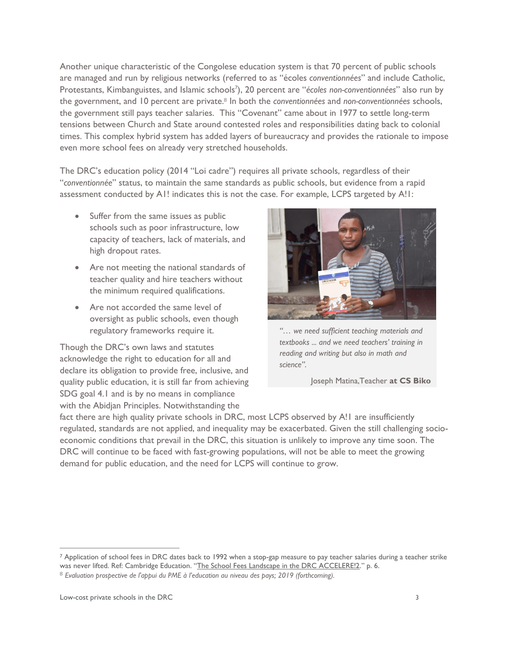Another unique characteristic of the Congolese education system is that 70 percent of public schools are managed and run by religious networks (referred to as "écoles *conventionnées*" and include Catholic, Protestants, Kimbanguistes, and Islamic schools<sup>7</sup>), 20 percent are "écoles non-conventionnées" also run by the government, and 10 percent are private.<sup>8</sup> In both the *conventionnées* and *non-conventionnées* schools, the government still pays teacher salaries. This "Covenant" came about in 1977 to settle long-term tensions between Church and State around contested roles and responsibilities dating back to colonial times. This complex hybrid system has added layers of bureaucracy and provides the rationale to impose even more school fees on already very stretched households.

The DRC's education policy (2014 "Loi cadre") requires all private schools, regardless of their "*conventionnée*" status, to maintain the same standards as public schools, but evidence from a rapid assessment conducted by A1! indicates this is not the case. For example, LCPS targeted by A!!:

- Suffer from the same issues as public schools such as poor infrastructure, low capacity of teachers, lack of materials, and high dropout rates.
- Are not meeting the national standards of teacher quality and hire teachers without the minimum required qualifications.
- Are not accorded the same level of oversight as public schools, even though regulatory frameworks require it.

Though the DRC's own laws and statutes acknowledge the right to education for all and declare its obligation to provide free, inclusive, and quality public education, it is still far from achieving SDG goal 4.1 and is by no means in compliance with the Abidjan Principles. Notwithstanding the



*"… we need sufficient teaching materials and textbooks ... and we need teachers' training in reading and writing but also in math and science".* 

Joseph Matina,Teacher **at CS Biko** 

fact there are high quality private schools in DRC, most LCPS observed by A!1 are insufficiently regulated, standards are not applied, and inequality may be exacerbated. Given the still challenging socioeconomic conditions that prevail in the DRC, this situation is unlikely to improve any time soon. The DRC will continue to be faced with fast-growing populations, will not be able to meet the growing demand for public education, and the need for LCPS will continue to grow.

<sup>7</sup> Application of school fees in DRC dates back to 1992 when a stop-gap measure to pay teacher salaries during a teacher strike was never lifted. Ref: Cambridge Education. "[The School Fees Landscape in the DRC ACCELERE!2](https://www.eduquepsp.education/wp-content/uploads/2019/10/A2-School-Fees-report-FINAL-DRAFT.pdf)." p. 6.

<sup>8</sup> *Evaluation prospective de l'appui du PME à l'education au niveau des pays; 2019 (forthcoming).*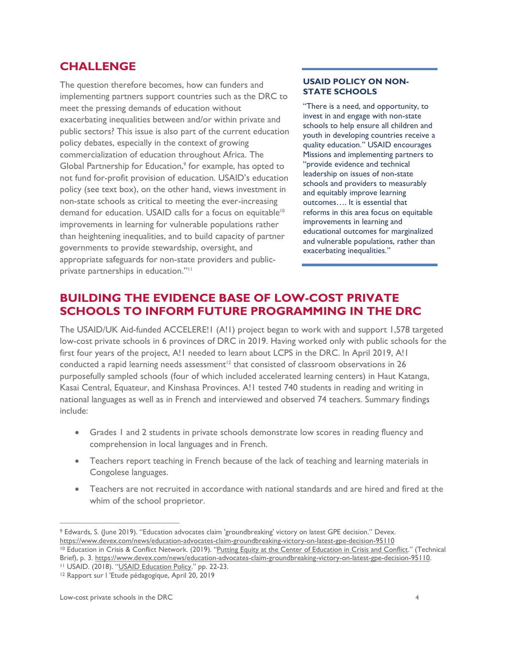#### **CHALLENGE**

The question therefore becomes, how can funders and implementing partners support countries such as the DRC to meet the pressing demands of education without exacerbating inequalities between and/or within private and public sectors? This issue is also part of the current education policy debates, especially in the context of growing commercialization of education throughout Africa. The Global Partnership for Education,<sup>9</sup> for example, has opted to not fund for-profit provision of education. USAID's education policy (see text box), on the other hand, views investment in non-state schools as critical to meeting the ever-increasing demand for education. USAID calls for a focus on equitable<sup>10</sup> improvements in learning for vulnerable populations rather than heightening inequalities, and to build capacity of partner governments to provide stewardship, oversight, and appropriate safeguards for non-state providers and publicprivate partnerships in education."<sup>11</sup>

#### **USAID POLICY ON NON-STATE SCHOOLS**

"There is a need, and opportunity, to invest in and engage with non-state schools to help ensure all children and youth in developing countries receive a quality education." USAID encourages Missions and implementing partners to "provide evidence and technical leadership on issues of non-state schools and providers to measurably and equitably improve learning outcomes…. It is essential that reforms in this area focus on equitable improvements in learning and educational outcomes for marginalized and vulnerable populations, rather than exacerbating inequalities."

## **BUILDING THE EVIDENCE BASE OF LOW-COST PRIVATE SCHOOLS TO INFORM FUTURE PROGRAMMING IN THE DRC**

The USAID/UK Aid-funded ACCELERE!1 (A!1) project began to work with and support 1,578 targeted low-cost private schools in 6 provinces of DRC in 2019. Having worked only with public schools for the first four years of the project, A! I needed to learn about LCPS in the DRC. In April 2019, A! I conducted a rapid learning needs assessment<sup>12</sup> that consisted of classroom observations in 26 purposefully sampled schools (four of which included accelerated learning centers) in Haut Katanga, Kasai Central, Equateur, and Kinshasa Provinces. A!1 tested 740 students in reading and writing in national languages as well as in French and interviewed and observed 74 teachers. Summary findings include:

- Grades 1 and 2 students in private schools demonstrate low scores in reading fluency and comprehension in local languages and in French.
- Teachers report teaching in French because of the lack of teaching and learning materials in Congolese languages.
- Teachers are not recruited in accordance with national standards and are hired and fired at the whim of the school proprietor.

<sup>9</sup> Edwards, S. (June 2019). "Education advocates claim 'groundbreaking' victory on latest GPE decision." Devex. <https://www.devex.com/news/education-advocates-claim-groundbreaking-victory-on-latest-gpe-decision-95110> <sup>10</sup> Education in Crisis & Conflict Network. (2019). "[Putting Equity at the Center of Education in Crisis and Conflict](https://www.eccnetwork.net/resources/putting-equity-center-education-crisis-and-conflict)." (Technical Brief), p. 3[. https://www.devex.com/news/education-advocates-claim-groundbreaking-victory-on-latest-gpe-decision-95110.](https://www.devex.com/news/education-advocates-claim-groundbreaking-victory-on-latest-gpe-decision-95110)

<sup>&</sup>lt;sup>11</sup> USAID. (2018). "[USAID Education Policy](https://www.usaid.gov/sites/default/files/documents/1865/2018_Education_Policy_FINAL_WEB.pdf)." pp. 22-23.

<sup>12</sup> Rapport sur l 'Etude pédagogique, April 20, 2019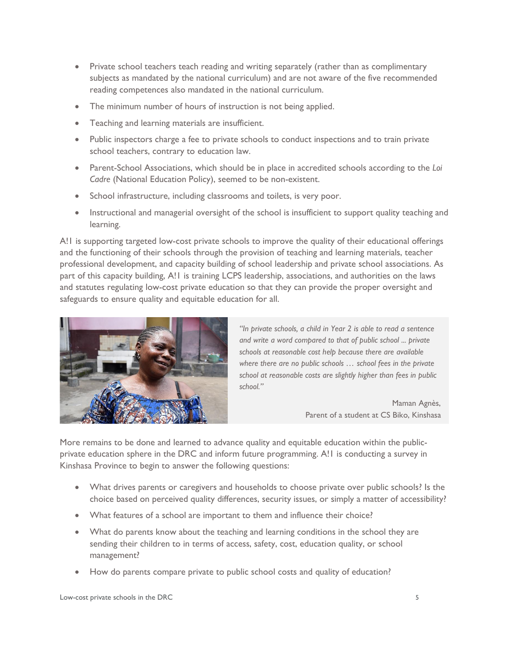- Private school teachers teach reading and writing separately (rather than as complimentary subjects as mandated by the national curriculum) and are not aware of the five recommended reading competences also mandated in the national curriculum.
- The minimum number of hours of instruction is not being applied.
- Teaching and learning materials are insufficient.
- Public inspectors charge a fee to private schools to conduct inspections and to train private school teachers, contrary to education law.
- Parent-School Associations, which should be in place in accredited schools according to the *Loi Cadre* (National Education Policy), seemed to be non-existent.
- School infrastructure, including classrooms and toilets, is very poor.
- Instructional and managerial oversight of the school is insufficient to support quality teaching and learning.

A!1 is supporting targeted low-cost private schools to improve the quality of their educational offerings and the functioning of their schools through the provision of teaching and learning materials, teacher professional development, and capacity building of school leadership and private school associations. As part of this capacity building, A!1 is training LCPS leadership, associations, and authorities on the laws and statutes regulating low-cost private education so that they can provide the proper oversight and safeguards to ensure quality and equitable education for all.



*"In private schools, a child in Year 2 is able to read a sentence and write a word compared to that of public school ... private schools at reasonable cost help because there are available where there are no public schools … school fees in the private school at reasonable costs are slightly higher than fees in public school."*

> Maman Agnès, Parent of a student at CS Biko, Kinshasa

More remains to be done and learned to advance quality and equitable education within the publicprivate education sphere in the DRC and inform future programming. A!1 is conducting a survey in Kinshasa Province to begin to answer the following questions:

- What drives parents or caregivers and households to choose private over public schools? Is the choice based on perceived quality differences, security issues, or simply a matter of accessibility?
- What features of a school are important to them and influence their choice?
- What do parents know about the teaching and learning conditions in the school they are sending their children to in terms of access, safety, cost, education quality, or school management?
- How do parents compare private to public school costs and quality of education?

Low-cost private schools in the DRC 5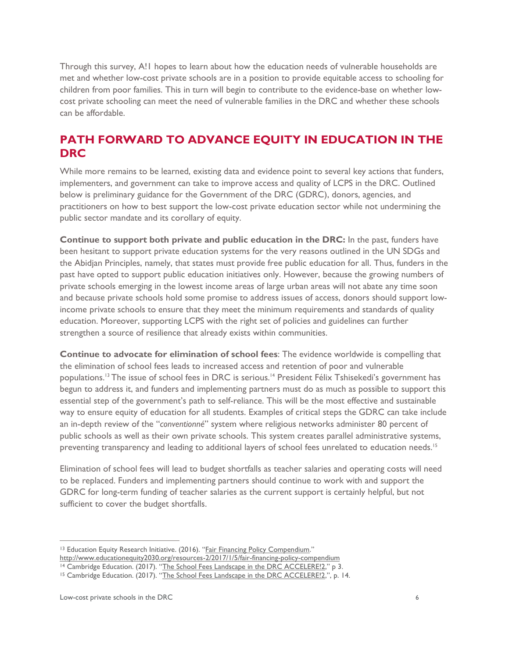Through this survey, A!1 hopes to learn about how the education needs of vulnerable households are met and whether low-cost private schools are in a position to provide equitable access to schooling for children from poor families. This in turn will begin to contribute to the evidence-base on whether lowcost private schooling can meet the need of vulnerable families in the DRC and whether these schools can be affordable.

#### **PATH FORWARD TO ADVANCE EQUITY IN EDUCATION IN THE DRC**

While more remains to be learned, existing data and evidence point to several key actions that funders, implementers, and government can take to improve access and quality of LCPS in the DRC. Outlined below is preliminary guidance for the Government of the DRC (GDRC), donors, agencies, and practitioners on how to best support the low-cost private education sector while not undermining the public sector mandate and its corollary of equity.

**Continue to support both private and public education in the DRC:** In the past, funders have been hesitant to support private education systems for the very reasons outlined in the UN SDGs and the Abidjan Principles, namely, that states must provide free public education for all. Thus, funders in the past have opted to support public education initiatives only. However, because the growing numbers of private schools emerging in the lowest income areas of large urban areas will not abate any time soon and because private schools hold some promise to address issues of access, donors should support lowincome private schools to ensure that they meet the minimum requirements and standards of quality education. Moreover, supporting LCPS with the right set of policies and guidelines can further strengthen a source of resilience that already exists within communities.

**Continue to advocate for elimination of school fees**: The evidence worldwide is compelling that the elimination of school fees leads to increased access and retention of poor and vulnerable populations. <sup>13</sup> The issue of school fees in DRC is serious.<sup>14</sup> President Félix Tshisekedi's government has begun to address it, and funders and implementing partners must do as much as possible to support this essential step of the government's path to self-reliance. This will be the most effective and sustainable way to ensure equity of education for all students. Examples of critical steps the GDRC can take include an in-depth review of the "*conventionné*" system where religious networks administer 80 percent of public schools as well as their own private schools. This system creates parallel administrative systems, preventing transparency and leading to additional layers of school fees unrelated to education needs.<sup>15</sup>

Elimination of school fees will lead to budget shortfalls as teacher salaries and operating costs will need to be replaced. Funders and implementing partners should continue to work with and support the GDRC for long-term funding of teacher salaries as the current support is certainly helpful, but not sufficient to cover the budget shortfalls.

<sup>13</sup> Education Equity Research Initiative. (2016). "[Fair Financing Policy Compendium](http://www.educationequity2030.org/resources-2/2017/1/5/fair-financing-policy-compendium)."

<http://www.educationequity2030.org/resources-2/2017/1/5/fair-financing-policy-compendium>

<sup>&</sup>lt;sup>14</sup> Cambridge Education. (2017). "[The School Fees Landscape in the DRC ACCELERE!2](https://www.eduquepsp.education/wp-content/uploads/2019/10/A2-School-Fees-report-FINAL-DRAFT.pdf)," p 3.

<sup>&</sup>lt;sup>15</sup> Cambridge Education. (2017). "[The School Fees Landscape in the DRC ACCELERE!2](https://www.eduquepsp.education/wp-content/uploads/2019/10/A2-School-Fees-report-FINAL-DRAFT.pdf),", p. 14.